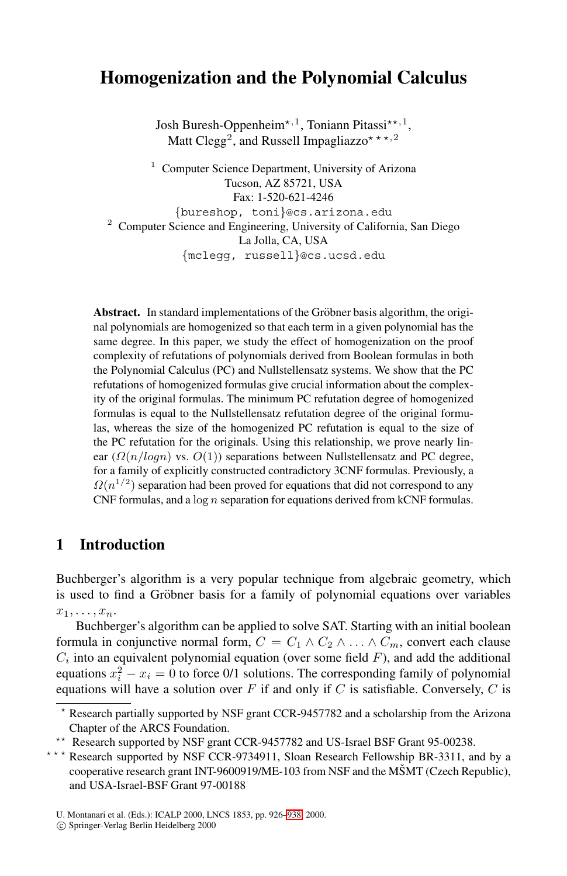# **Homogenization and the Polynomial Calculus**

Josh Buresh-Oppenheim<sup>\*, 1</sup>, Toniann Pitassi<sup>\*\*, 1</sup>, Matt Clegg<sup>2</sup>, and Russell Impagliazzo<sup>\*\*\*,2</sup>

<sup>1</sup> Computer Science Department, University of Arizona Tucson, AZ 85721, USA Fax: 1-520-621-4246 {bureshop, toni}@cs.arizona.edu <sup>2</sup> Computer Science and Engineering, University of California, San Diego La Jolla, CA, USA {mclegg, russell}@cs.ucsd.edu

Abstract. In standard implementations of the Gröbner basis algorithm, the original polynomials are homogenized so that each term in a given polynomial has the same degree. In this paper, we study the effect of homogenization on the proof complexity of refutations of polynomials derived from Boolean formulas in both the Polynomial Calculus (PC) and Nullstellensatz systems. We show that the PC refutations of homogenized formulas give crucial information about the complexity of the original formulas. The minimum PC refutation degree of homogenized formulas is equal to the Nullstellensatz refutation degree of the original formulas, whereas the size of the homogenized PC refutation is equal to the size of the PC refutation for the originals. Using this relationship, we prove nearly linear ( $\Omega(n/logn)$  vs.  $O(1)$ ) separations between Nullstellensatz and PC degree, for a family of explicitly constructed contradictory 3CNF formulas. Previously, a  $\Omega(n^{1/2})$  separation had been proved for equations that did not correspond to any CNF formulas, and a  $\log n$  separation for equations derived from kCNF formulas.

### **1 Introduction**

Buchberger's algorithm is a very popular technique from algebraic geometry, which is used to find a Gröbner basis for a family of polynomial equations over variables  $x_1,\ldots,x_n.$ 

Buchberger's algorithm can be applied to solve SAT. Starting with an initial boolean formula in conjunctive normal form,  $C = C_1 \wedge C_2 \wedge \ldots \wedge C_m$ , convert each clause  $C_i$  into an equivalent polynomial equation (over some field  $F$ ), and add the additional equations  $x_i^2 - x_i = 0$  to force 0/1 solutions. The corresponding family of polynomial equations will have a solution over  $F$  if and only if  $C$  is satisfiable. Conversely,  $C$  is

<sup>?</sup> Research partially supported by NSF grant CCR-9457782 and a scholarship from the Arizona Chapter of the ARC[S Fo](#page-12-0)undation.

<sup>\*\*</sup> Research supported by NSF grant CCR-9457782 and US-Israel BSF Grant 95-00238.

<sup>\*\*\*</sup> Research supported by NSF CCR-9734911, Sloan Research Fellowship BR-3311, and by a cooperative research grant INT-9600919/ME-103 from NSF and the MŠMT (Czech Republic), and USA-Israel-BSF Grant 97-00188

U. Montanari et al. (Eds.): ICALP 2000, LNCS 1853, pp. 926–938, 2000.

c Springer-Verlag Berlin Heidelberg 2000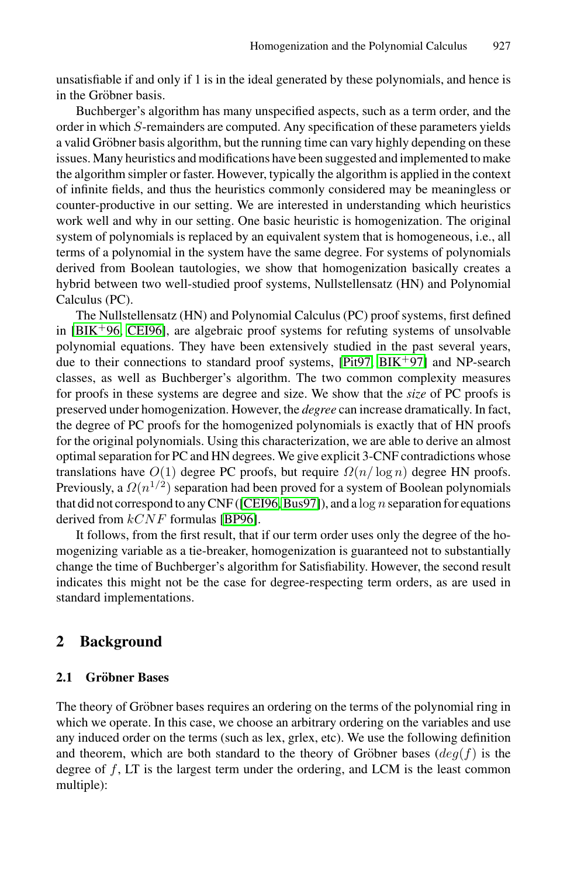unsatisfiable if and only if 1 is in the ideal generated by these polynomials, and hence is in the Gröbner basis.

Buchberger's algorithm has many unspecified aspects, such as a term order, and the order in which S-remainders are computed. Any specification of these parameters yields a valid Gröbner basis algorithm, but the running time can vary highly depending on these issues. Many heuristics and modifications have been suggested and implemented to make the algorithm simpler or faster. However, typically the algorithm is applied in the context of infinite fields, and thus the heuristics commonly considered may be meaningless or counter-productive in our setting. We are interested in understanding which heuristics work well and why in our setting. One basic heuristic is homogenization. The original system of polynomials is replaced by an equivalent system that is homogeneous, i.e., all terms of a polynomial in the system have the same degree. For systems of polynomials derived from Boolean tautologies, we show that homogenization basically creates a hybrid between two well-studied proof systems, Nullstellensatz (HN) and Polynomial Calculus (PC).

The Nullstellensatz (HN) and Polynomial Calculus (PC) proof systems, first defined in  $[BIK^+96, CEI96]$  $[BIK^+96, CEI96]$  $[BIK^+96, CEI96]$ , are algebraic proof systems for refuting systems of unsolvable polynomial equations. They have been extensively studied in the past several years, due to their connections to standard proof systems, [\[Pit97, BIK](#page-11-0)+97] and NP-search classes, as well as Buchberger's algorithm. The two common complexity measures for proofs in these systems are degree and size. We show that the *size* of PC proofs is preserved under homogenization. However, the *degree* can increase dramatically. In fact, the degree of PC proofs for the homogenized polynomials is exactly that of HN proofs for the original polynomials. Using this characterization, we are able to derive an almost optimal separation for PC and HN degrees. We give explicit 3-CNF contradictions whose translations have  $O(1)$  degree PC proofs, but require  $\Omega(n/\log n)$  degree HN proofs. Previously, a  $\Omega(n^{1/2})$  separation had been proved for a system of Boolean polynomials that did not correspond to any CNF ([\[CEI96, Bus97\]](#page-11-0)), and a  $\log n$  separation for equations derived from  $kCNF$  formulas [\[BP96\]](#page-11-0).

It follows, from the first result, that if our term order uses only the degree of the homogenizing variable as a tie-breaker, homogenization is guaranteed not to substantially change the time of Buchberger's algorithm for Satisfiability. However, the second result indicates this might not be the case for degree-respecting term orders, as are used in standard implementations.

### **2 Background**

#### **2.1 Gröbner Bases**

The theory of Gröbner bases requires an ordering on the terms of the polynomial ring in which we operate. In this case, we choose an arbitrary ordering on the variables and use any induced order on the terms (such as lex, grlex, etc). We use the following definition and theorem, which are both standard to the theory of Gröbner bases  $deg(f)$  is the degree of  $f$ , LT is the largest term under the ordering, and LCM is the least common multiple):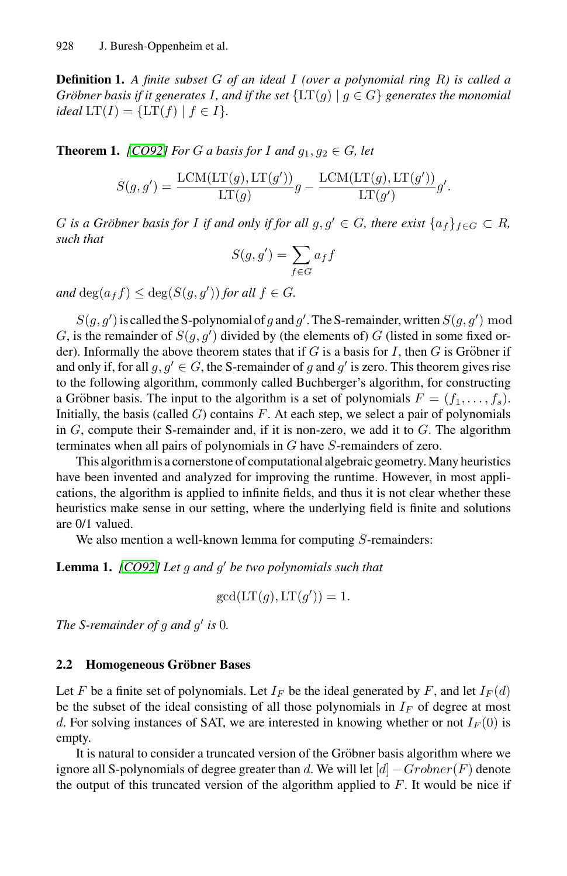<span id="page-2-0"></span>**Definition 1.** *A finite subset* G *of an ideal* I *(over a polynomial ring* R*) is called a Gröbner basis if it generates I, and if the set*  $\{LT(g) | g \in G\}$  *generates the monomial ideal*  $LT(I) = \{LT(f) | f \in I\}.$ 

**Theorem 1.** *[\[CO92\]](#page-11-0) For G a basis for I* and  $g_1, g_2 \in G$ , let

$$
S(g,g') = \frac{\text{LCM}(\text{LT}(g), \text{LT}(g'))}{\text{LT}(g)}g - \frac{\text{LCM}(\text{LT}(g), \text{LT}(g'))}{\text{LT}(g')}g'.
$$

G is a Gröbner basis for *I* if and only if for all  $g, g' \in G$ , there exist  $\{a_f\}_{f \in G} \subset R$ , *such that*

$$
S(g, g') = \sum_{f \in G} a_f f
$$

 $and \deg(a_f f) \leq deg(S(g,g'))$  *for all*  $f \in G$ *.* 

 $S(g, g')$  is called the S-polynomial of g and g'. The S-remainder, written  $S(g, g')$  mod G, is the remainder of  $S(g, g')$  divided by (the elements of) G (listed in some fixed order). Informally the above theorem states that if  $G$  is a basis for  $I$ , then  $G$  is Gröbner if and only if, for all  $g, g' \in G$ , the S-remainder of g and g' is zero. This theorem gives rise to the following algorithm, commonly called Buchberger's algorithm, for constructing a Gröbner basis. The input to the algorithm is a set of polynomials  $F = (f_1, \ldots, f_s)$ . Initially, the basis (called  $G$ ) contains  $F$ . At each step, we select a pair of polynomials in  $G$ , compute their S-remainder and, if it is non-zero, we add it to  $G$ . The algorithm terminates when all pairs of polynomials in G have S-remainders of zero.

This algorithm is a cornerstone of computational algebraic geometry. Many heuristics have been invented and analyzed for improving the runtime. However, in most applications, the algorithm is applied to infinite fields, and thus it is not clear whether these heuristics make sense in our setting, where the underlying field is finite and solutions are 0/1 valued.

We also mention a well-known lemma for computing S-remainders:

**Lemma 1.**  $[CO92]$  Let q and q' be two polynomials such that

$$
\gcd(\text{LT}(g), \text{LT}(g')) = 1.
$$

*The S-remainder of q and q' is* 0*.* 

### **2.2** Homogeneous Gröbner Bases

Let F be a finite set of polynomials. Let  $I_F$  be the ideal generated by F, and let  $I_F(d)$ be the subset of the ideal consisting of all those polynomials in  $I_F$  of degree at most d. For solving instances of SAT, we are interested in knowing whether or not  $I_F(0)$  is empty.

It is natural to consider a truncated version of the Gröbner basis algorithm where we ignore all S-polynomials of degree greater than d. We will let  $[d]-Grobner(F)$  denote the output of this truncated version of the algorithm applied to  $F$ . It would be nice if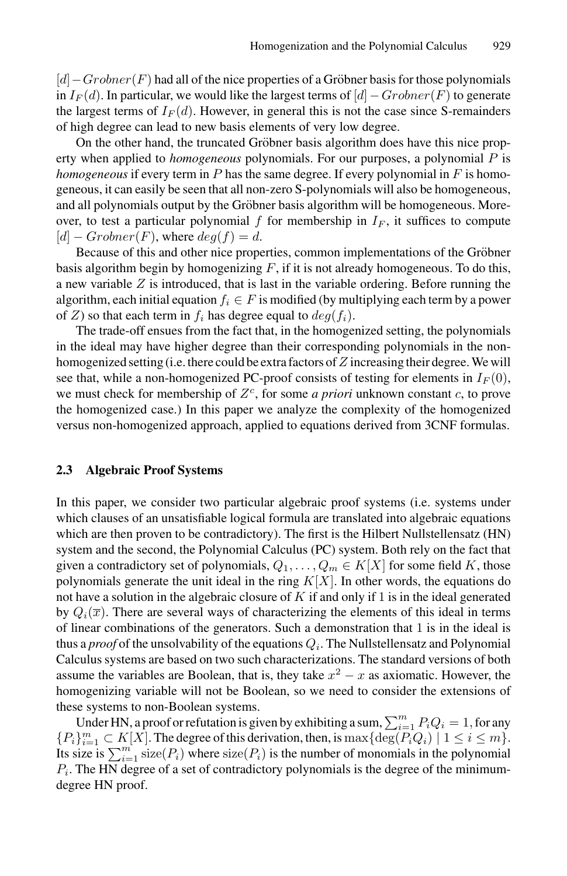$[d]-Grobner(F)$  had all of the nice properties of a Gröbner basis for those polynomials in  $I_F(d)$ . In particular, we would like the largest terms of  $[d]$  –  $Grobner(F)$  to generate the largest terms of  $I_F(d)$ . However, in general this is not the case since S-remainders of high degree can lead to new basis elements of very low degree.

On the other hand, the truncated Gröbner basis algorithm does have this nice property when applied to *homogeneous* polynomials. For our purposes, a polynomial P is *homogeneous* if every term in  $P$  has the same degree. If every polynomial in  $F$  is homogeneous, it can easily be seen that all non-zero S-polynomials will also be homogeneous, and all polynomials output by the Gröbner basis algorithm will be homogeneous. Moreover, to test a particular polynomial  $f$  for membership in  $I_F$ , it suffices to compute  $[d]$  –  $Grobner(F)$ , where  $deg(f) = d$ .

Because of this and other nice properties, common implementations of the Gröbner basis algorithm begin by homogenizing  $F$ , if it is not already homogeneous. To do this, a new variable  $Z$  is introduced, that is last in the variable ordering. Before running the algorithm, each initial equation  $f_i \in F$  is modified (by multiplying each term by a power of Z) so that each term in  $f_i$  has degree equal to  $deg(f_i)$ .

The trade-off ensues from the fact that, in the homogenized setting, the polynomials in the ideal may have higher degree than their corresponding polynomials in the nonhomogenized setting (i.e. there could be extra factors of  $Z$  increasing their degree. We will see that, while a non-homogenized PC-proof consists of testing for elements in  $I_F(0)$ , we must check for membership of  $Z<sup>c</sup>$ , for some *a priori* unknown constant *c*, to prove the homogenized case.) In this paper we analyze the complexity of the homogenized versus non-homogenized approach, applied to equations derived from 3CNF formulas.

#### **2.3 Algebraic Proof Systems**

In this paper, we consider two particular algebraic proof systems (i.e. systems under which clauses of an unsatisfiable logical formula are translated into algebraic equations which are then proven to be contradictory). The first is the Hilbert Nullstellensatz (HN) system and the second, the Polynomial Calculus (PC) system. Both rely on the fact that given a contradictory set of polynomials,  $Q_1, \ldots, Q_m \in K[X]$  for some field K, those polynomials generate the unit ideal in the ring  $K[X]$ . In other words, the equations do not have a solution in the algebraic closure of  $K$  if and only if 1 is in the ideal generated by  $Q_i(\overline{x})$ . There are several ways of characterizing the elements of this ideal in terms of linear combinations of the generators. Such a demonstration that 1 is in the ideal is thus a *proof* of the unsolvability of the equations  $Q_i$ . The Nullstellensatz and Polynomial Calculus systems are based on two such characterizations. The standard versions of both assume the variables are Boolean, that is, they take  $x^2 - x$  as axiomatic. However, the homogenizing variable will not be Boolean, so we need to consider the extensions of these systems to non-Boolean systems.

Under HN, a proof or refutation is given by exhibiting a sum,  $\sum_{i=1}^{m} P_i Q_i = 1$ , for any  ${P_i}_{i=1}^m \subset K[X]$ . The degree of this derivation, then, is  $\max\{\deg(P_iQ_i) \mid 1 \leq i \leq m\}$ . Its size is  $\sum_{i=1}^{m}$  size( $P_i$ ) where size( $P_i$ ) is the number of monomials in the polynomial  $P_i$ . The HN degree of a set of contradictory polynomials is the degree of the minimumdegree HN proof.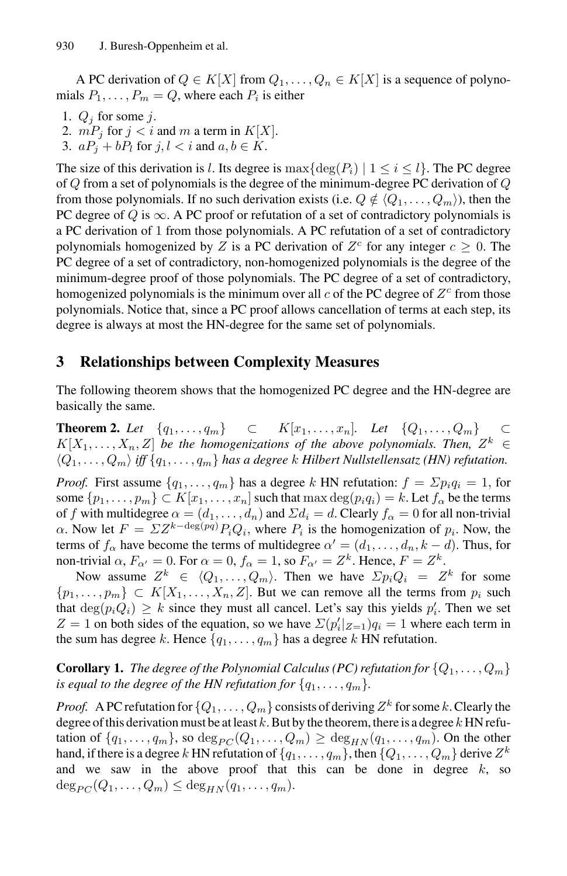<span id="page-4-0"></span>A PC derivation of  $Q \in K[X]$  from  $Q_1, \ldots, Q_n \in K[X]$  is a sequence of polynomials  $P_1, \ldots, P_m = Q$ , where each  $P_i$  is either

- 1.  $Q_i$  for some j.
- 2.  $mP_i$  for  $j < i$  and m a term in  $K[X]$ .
- 3.  $aP_i + bP_l$  for  $j, l < i$  and  $a, b \in K$ .

The size of this derivation is l. Its degree is  $\max{\{\deg(P_i) | 1 \le i \le l\}}$ . The PC degree of Q from a set of polynomials is the degree of the minimum-degree PC derivation of Q from those polynomials. If no such derivation exists (i.e.  $Q \notin (Q_1, \ldots, Q_m)$ ), then the PC degree of  $Q$  is  $\infty$ . A PC proof or refutation of a set of contradictory polynomials is a PC derivation of 1 from those polynomials. A PC refutation of a set of contradictory polynomials homogenized by Z is a PC derivation of  $Z<sup>c</sup>$  for any integer  $c \ge 0$ . The PC degree of a set of contradictory, non-homogenized polynomials is the degree of the minimum-degree proof of those polynomials. The PC degree of a set of contradictory, homogenized polynomials is the minimum over all c of the PC degree of  $Z<sup>c</sup>$  from those polynomials. Notice that, since a PC proof allows cancellation of terms at each step, its degree is always at most the HN-degree for the same set of polynomials.

# **3 Relationships between Complexity Measures**

The following theorem shows that the homogenized PC degree and the HN-degree are basically the same.

**Theorem 2.** *Let*  $\{q_1, ..., q_m\}$  ⊂  $K[x_1, ..., x_n]$ *. Let*  $\{Q_1, ..., Q_m\}$  ⊂  $K[X_1,\ldots,X_n,Z]$  *be the homogenizations of the above polynomials. Then,*  $Z^k \in$  $\langle Q_1,\ldots,Q_m\rangle$  *iff*  $\{q_1,\ldots,q_m\}$  *has a degree k Hilbert Nullstellensatz (HN) refutation.* 

*Proof.* First assume  $\{q_1, \ldots, q_m\}$  has a degree k HN refutation:  $f = \sum p_i q_i = 1$ , for some  $\{p_1,\ldots,p_m\} \subset K[x_1,\ldots,x_n]$  such that  $\max \deg(p_iq_i) = k$ . Let  $f_\alpha$  be the terms of f with multidegree  $\alpha = (d_1, \ldots, d_n)$  and  $\Sigma d_i = d$ . Clearly  $f_{\alpha} = 0$  for all non-trivial  $\alpha$ . Now let  $F = \Sigma Z^{k-\deg(p_q)} P_i Q_i$ , where  $P_i$  is the homogenization of  $p_i$ . Now, the terms of  $f_\alpha$  have become the terms of multidegree  $\alpha' = (d_1, \ldots, d_n, k - d)$ . Thus, for non-trivial  $\alpha$ ,  $F_{\alpha'} = 0$ . For  $\alpha = 0$ ,  $f_{\alpha} = 1$ , so  $F_{\alpha'} = Z^k$ . Hence,  $F = Z^k$ .

Now assume  $Z^k \in \langle Q_1, \ldots, Q_m \rangle$ . Then we have  $\sum p_i Q_i = Z^k$  for some  $\{p_1,\ldots,p_m\} \subset K[X_1,\ldots,X_n,Z]$ . But we can remove all the terms from  $p_i$  such that  $deg(p_iQ_i) \geq k$  since they must all cancel. Let's say this yields  $p'_i$ . Then we set  $Z = 1$  on both sides of the equation, so we have  $\sum (p_i' | Z = 1) q_i = 1$  where each term in the sum has degree k. Hence  $\{q_1, \ldots, q_m\}$  has a degree k HN refutation.

**Corollary 1.** *The degree of the Polynomial Calculus (PC) refutation for*  $\{Q_1, \ldots, Q_m\}$ *is equal to the degree of the HN refutation for*  $\{q_1, \ldots, q_m\}$ .

*Proof.* A PC refutation for  $\{Q_1, \ldots, Q_m\}$  consists of deriving  $Z^k$  for some k. Clearly the degree of this derivation must be at least  $k$ . But by the theorem, there is a degree  $k$  HN refutation of  $\{q_1,\ldots,q_m\}$ , so  $\deg_{PC}(Q_1,\ldots,Q_m) \geq \deg_{HN}(q_1,\ldots,q_m)$ . On the other hand, if there is a degree k HN refutation of  $\{q_1,\ldots,q_m\}$ , then  $\{Q_1,\ldots,Q_m\}$  derive  $Z^k$ and we saw in the above proof that this can be done in degree  $k$ , so  $\deg_{PC}(Q_1,\ldots,Q_m) \leq \deg_{HN}(q_1,\ldots,q_m).$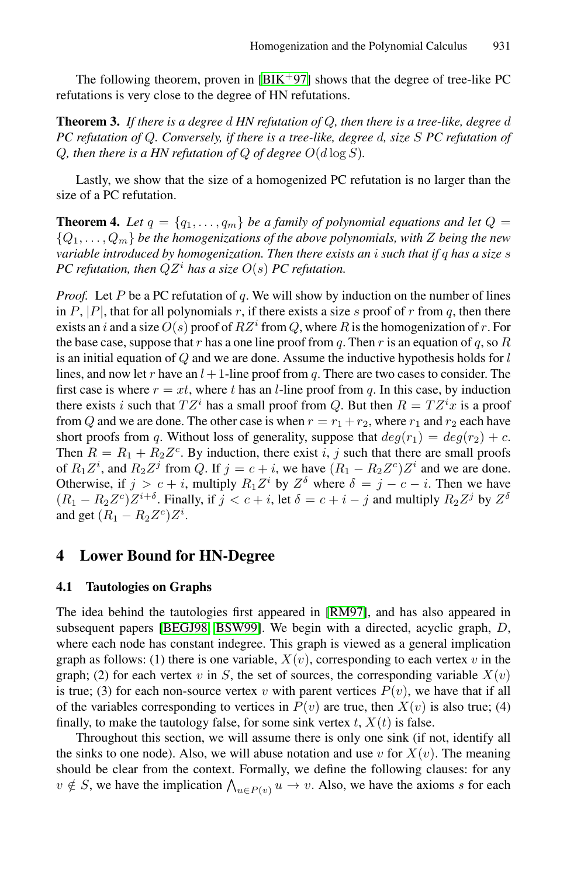The following theorem, proven in  $[BIK^+97]$  $[BIK^+97]$  shows that the degree of tree-like PC refutations is very close to the degree of HN refutations.

**Theorem 3.** *If there is a degree* d *HN refutation of* Q*, then there is a tree-like, degree* d *PC refutation of* Q*. Conversely, if there is a tree-like, degree* d*, size* S *PC refutation of* Q, then there is a HN refutation of Q of degree  $O(d \log S)$ .

Lastly, we show that the size of a homogenized PC refutation is no larger than the size of a PC refutation.

**Theorem 4.** Let  $q = \{q_1, \ldots, q_m\}$  be a family of polynomial equations and let  $Q =$ {Q1,...,Qm} *be the homogenizations of the above polynomials, with* Z *being the new variable introduced by homogenization. Then there exists an* i *such that if* q *has a size* s *PC refutation, then*  $QZ^i$  *has a size*  $O(s)$  *PC refutation.* 

*Proof.* Let P be a PC refutation of q. We will show by induction on the number of lines in P, |P|, that for all polynomials r, if there exists a size s proof of r from q, then there exists an i and a size  $O(s)$  proof of  $RZ<sup>i</sup>$  from Q, where R is the homogenization of r. For the base case, suppose that r has a one line proof from q. Then r is an equation of q, so R is an initial equation of  $Q$  and we are done. Assume the inductive hypothesis holds for  $l$ lines, and now let r have an  $l + 1$ -line proof from q. There are two cases to consider. The first case is where  $r = xt$ , where t has an l-line proof from q. In this case, by induction there exists i such that  $TZ^{i}$  has a small proof from Q. But then  $R = TZ^{i}x$  is a proof from Q and we are done. The other case is when  $r = r_1 + r_2$ , where  $r_1$  and  $r_2$  each have short proofs from q. Without loss of generality, suppose that  $deg(r_1) = deg(r_2) + c$ . Then  $R = R_1 + R_2 Z^c$ . By induction, there exist i, j such that there are small proofs of  $R_1 Z^i$ , and  $R_2 Z^j$  from Q. If  $j = c + i$ , we have  $(R_1 - R_2 Z^c) Z^i$  and we are done. Otherwise, if  $j > c + i$ , multiply  $R_1 Z^i$  by  $Z^{\delta}$  where  $\delta = j - c - i$ . Then we have  $(R_1 - R_2 Z^c)Z^{i+\delta}$ . Finally, if  $j < c + i$ , let  $\delta = c + i - j$  and multiply  $R_2 Z^j$  by  $Z^{\delta}$ and get  $(R_1 - R_2 Z^c)Z^i$ .

## **4 Lower Bound for HN-Degree**

### **4.1 Tautologies on Graphs**

The idea behind the tautologies first appeared in [\[RM97\]](#page-12-0), and has also appeared in subsequent papers [\[BEGJ98, BSW99\]](#page-11-0). We begin with a directed, acyclic graph, D, where each node has constant indegree. This graph is viewed as a general implication graph as follows: (1) there is one variable,  $X(v)$ , corresponding to each vertex v in the graph; (2) for each vertex v in S, the set of sources, the corresponding variable  $X(v)$ is true; (3) for each non-source vertex v with parent vertices  $P(v)$ , we have that if all of the variables corresponding to vertices in  $P(v)$  are true, then  $X(v)$  is also true; (4) finally, to make the tautology false, for some sink vertex  $t, X(t)$  is false.

Throughout this section, we will assume there is only one sink (if not, identify all the sinks to one node). Also, we will abuse notation and use v for  $X(v)$ . The meaning should be clear from the context. Formally, we define the following clauses: for any  $v \notin S$ , we have the implication  $\bigwedge_{u \in P(v)} u \to v$ . Also, we have the axioms s for each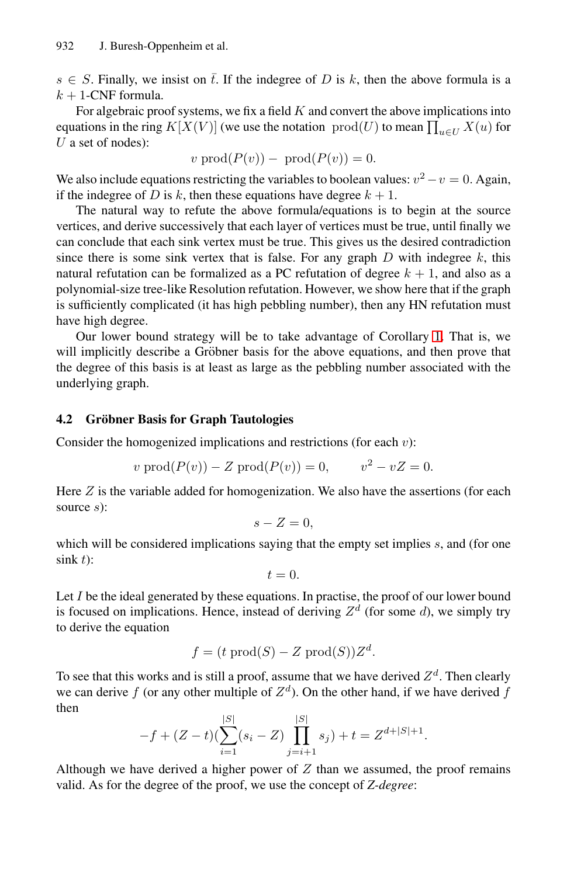$s \in S$ . Finally, we insist on  $\overline{t}$ . If the indegree of D is k, then the above formula is a  $k + 1$ -CNF formula.

For algebraic proof systems, we fix a field  $K$  and convert the above implications into equations in the ring  $K[X(V)]$  (we use the notation  $\operatorname{prod}(U)$  to mean  $\prod_{u \in U} X(u)$  for  $U$  a set of nodes):

$$
v \operatorname{prod}(P(v)) - \operatorname{prod}(P(v)) = 0.
$$

We also include equations restricting the variables to boolean values:  $v^2 - v = 0$ . Again, if the indegree of D is k, then these equations have degree  $k + 1$ .

The natural way to refute the above formula/equations is to begin at the source vertices, and derive successively that each layer of vertices must be true, until finally we can conclude that each sink vertex must be true. This gives us the desired contradiction since there is some sink vertex that is false. For any graph  $D$  with indegree  $k$ , this natural refutation can be formalized as a PC refutation of degree  $k + 1$ , and also as a polynomial-size tree-like Resolution refutation. However, we show here that if the graph is sufficiently complicated (it has high pebbling number), then any HN refutation must have high degree.

Our lower bound strategy will be to take advantage of Corollary [1.](#page-4-0) That is, we will implicitly describe a Gröbner basis for the above equations, and then prove that the degree of this basis is at least as large as the pebbling number associated with the underlying graph.

### **4.2 Grobner Basis for Graph Tautologies ¨**

Consider the homogenized implications and restrictions (for each  $v$ ):

$$
v \, \text{prod}(P(v)) - Z \, \text{prod}(P(v)) = 0, \qquad v^2 - vZ = 0.
$$

Here  $Z$  is the variable added for homogenization. We also have the assertions (for each source  $s$ ):

$$
s - Z = 0,
$$

which will be considered implications saying that the empty set implies s, and (for one sink  $t$ :

$$
t=0.
$$

Let  $I$  be the ideal generated by these equations. In practise, the proof of our lower bound is focused on implications. Hence, instead of deriving  $Z<sup>d</sup>$  (for some d), we simply try to derive the equation

$$
f = (t \text{ prod}(S) - Z \text{ prod}(S))Z^d.
$$

To see that this works and is still a proof, assume that we have derived  $Z<sup>d</sup>$ . Then clearly we can derive f (or any other multiple of  $Z<sup>d</sup>$ ). On the other hand, if we have derived f then  $\sim$ 

$$
-f + (Z - t)(\sum_{i=1}^{|S|} (s_i - Z) \prod_{j=i+1}^{|S|} s_j) + t = Z^{d+|S|+1}.
$$

Although we have derived a higher power of  $Z$  than we assumed, the proof remains valid. As for the degree of the proof, we use the concept of *Z-degree*: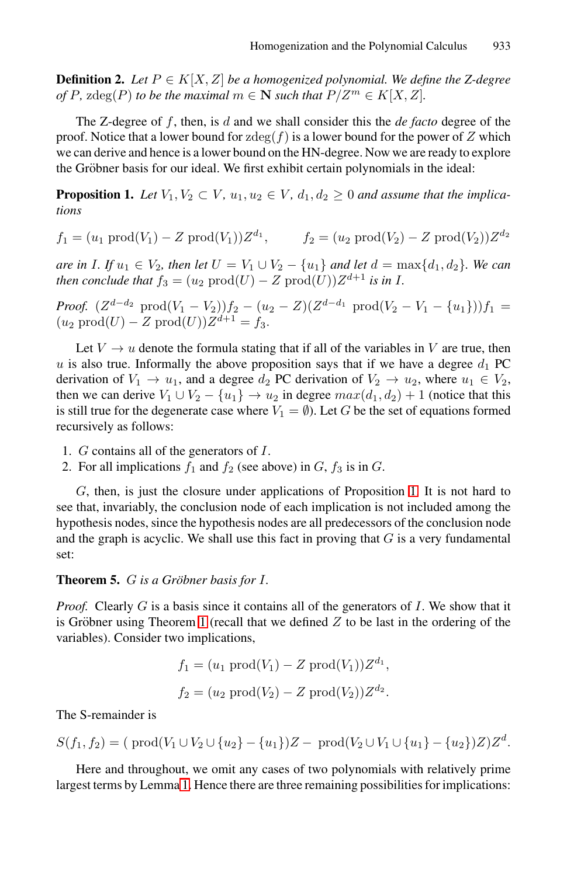<span id="page-7-0"></span>**Definition 2.** *Let*  $P \in K[X, Z]$  *be a homogenized polynomial. We define the Z-degree of* P,  $zdeg(P)$  *to be the maximal*  $m \in \mathbb{N}$  *such that*  $P/Z^m \in K[X, Z]$ *.* 

The Z-degree of f, then, is d and we shall consider this the *de facto* degree of the proof. Notice that a lower bound for  $zdeg(f)$  is a lower bound for the power of Z which we can derive and hence is a lower bound on the HN-degree. Now we are ready to explore the Gröbner basis for our ideal. We first exhibit certain polynomials in the ideal:

**Proposition 1.** Let  $V_1, V_2 \subset V$ ,  $u_1, u_2 \in V$ ,  $d_1, d_2 \geq 0$  and assume that the implica*tions*

$$
f_1 = (u_1 \text{ prod}(V_1) - Z \text{ prod}(V_1))Z^{d_1}, \qquad f_2 = (u_2 \text{ prod}(V_2) - Z \text{ prod}(V_2))Z^{d_2}
$$

*are in* I*. If*  $u_1 \in V_2$ *, then let*  $U = V_1 \cup V_2 - \{u_1\}$  *and let*  $d = \max\{d_1, d_2\}$ *. We can then conclude that*  $f_3 = (u_2 \text{ prod}(U) - Z \text{ prod}(U))Z^{d+1}$  *is in I.* 

*Proof.*  $(Z^{d-d_2} \text{prod}(V_1 - V_2))f_2 - (u_2 - Z)(Z^{d-d_1} \text{prod}(V_2 - V_1 - \{u_1\}))f_1 =$  $(u_2 \text{ prod}(U) - Z \text{ prod}(U))Z^{d+1} = f_3.$ 

Let  $V \to u$  denote the formula stating that if all of the variables in V are true, then u is also true. Informally the above proposition says that if we have a degree  $d_1$  PC derivation of  $V_1 \rightarrow u_1$ , and a degree  $d_2$  PC derivation of  $V_2 \rightarrow u_2$ , where  $u_1 \in V_2$ , then we can derive  $V_1 \cup V_2 - \{u_1\} \rightarrow u_2$  in degree  $max(d_1, d_2) + 1$  (notice that this is still true for the degenerate case where  $V_1 = \emptyset$ ). Let G be the set of equations formed recursively as follows:

- 1. G contains all of the generators of I.
- 2. For all implications  $f_1$  and  $f_2$  (see above) in  $G$ ,  $f_3$  is in  $G$ .

G, then, is just the closure under applications of Proposition 1. It is not hard to see that, invariably, the conclusion node of each implication is not included among the hypothesis nodes, since the hypothesis nodes are all predecessors of the conclusion node and the graph is acyclic. We shall use this fact in proving that  $G$  is a very fundamental set:

#### **Theorem 5.** G is a Gröbner basis for *I*.

*Proof.* Clearly G is a basis since it contains all of the generators of I. We show that it is Gröbner using Theorem [1](#page-2-0) (recall that we defined  $Z$  to be last in the ordering of the variables). Consider two implications,

$$
f_1 = (u_1 \text{ prod}(V_1) - Z \text{ prod}(V_1))Z^{d_1},
$$
  

$$
f_2 = (u_2 \text{ prod}(V_2) - Z \text{ prod}(V_2))Z^{d_2}.
$$

The S-remainder is

$$
S(f_1, f_2) = (\text{ prod}(V_1 \cup V_2 \cup \{u_2\} - \{u_1\})Z - \text{ prod}(V_2 \cup V_1 \cup \{u_1\} - \{u_2\})Z)Z^d.
$$

Here and throughout, we omit any cases of two polynomials with relatively prime largest terms by Lemma [1.](#page-2-0) Hence there are three remaining possibilities for implications: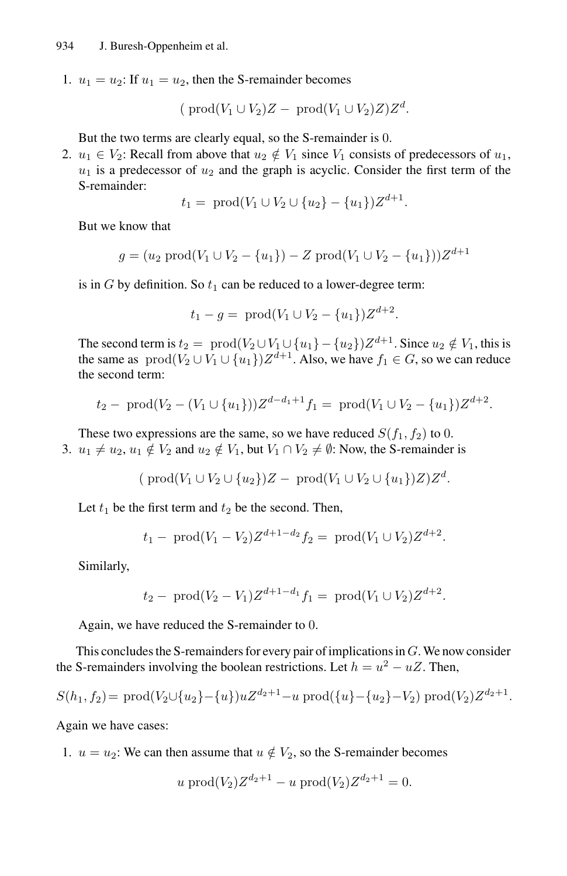1.  $u_1 = u_2$ : If  $u_1 = u_2$ , then the S-remainder becomes

 $(\text{prod}(V_1 \cup V_2)Z - \text{prod}(V_1 \cup V_2)Z)Z^d$ .

But the two terms are clearly equal, so the S-remainder is 0.

2.  $u_1 \in V_2$ : Recall from above that  $u_2 \notin V_1$  since  $V_1$  consists of predecessors of  $u_1$ ,  $u_1$  is a predecessor of  $u_2$  and the graph is acyclic. Consider the first term of the S-remainder:

$$
t_1 = \text{prod}(V_1 \cup V_2 \cup \{u_2\} - \{u_1\})Z^{d+1}.
$$

But we know that

$$
g = (u_2 \text{ prod}(V_1 \cup V_2 - \{u_1\}) - Z \text{ prod}(V_1 \cup V_2 - \{u_1\}))Z^{d+1}
$$

is in  $G$  by definition. So  $t_1$  can be reduced to a lower-degree term:

$$
t_1 - g = \text{prod}(V_1 \cup V_2 - \{u_1\})Z^{d+2}.
$$

The second term is  $t_2 = \text{prod}(V_2 \cup V_1 \cup \{u_1\} - \{u_2\})Z^{d+1}$ . Since  $u_2 \notin V_1$ , this is the same as  $\text{prod}(V_2 \cup V_1 \cup \{u_1\})Z^{d+1}$ . Also, we have  $f_1 \in G$ , so we can reduce the second term:

$$
t_2 \text{ -} \text{prod}(V_2 - (V_1 \cup \{u_1\}))Z^{d-d_1+1}f_1 = \text{prod}(V_1 \cup V_2 - \{u_1\})Z^{d+2}.
$$

These two expressions are the same, so we have reduced  $S(f_1, f_2)$  to 0.

3.  $u_1 \neq u_2, u_1 \notin V_2$  and  $u_2 \notin V_1$ , but  $V_1 \cap V_2 \neq \emptyset$ : Now, the S-remainder is

$$
(\text{prod}(V_1 \cup V_2 \cup \{u_2\})Z - \text{prod}(V_1 \cup V_2 \cup \{u_1\})Z)Z^d.
$$

Let  $t_1$  be the first term and  $t_2$  be the second. Then,

$$
t_1
$$
 –  $prod(V_1 - V_2)Z^{d+1-d_2}f_2$  =  $prod(V_1 \cup V_2)Z^{d+2}$ .

Similarly,

$$
t_2 - \text{prod}(V_2 - V_1)Z^{d+1-d_1}f_1 = \text{prod}(V_1 \cup V_2)Z^{d+2}.
$$

Again, we have reduced the S-remainder to 0.

This concludes the S-remainders for every pair of implications in  $G$ . We now consider the S-remainders involving the boolean restrictions. Let  $h = u^2 - uZ$ . Then,

$$
S(h_1, f_2) = \text{prod}(V_2 \cup \{u_2\} - \{u\}) u Z^{d_2 + 1} - u \text{ prod}(\{u\} - \{u_2\} - V_2) \text{ prod}(V_2) Z^{d_2 + 1}.
$$

Again we have cases:

1.  $u = u_2$ : We can then assume that  $u \notin V_2$ , so the S-remainder becomes

$$
u \, \text{prod}(V_2) Z^{d_2+1} - u \, \text{prod}(V_2) Z^{d_2+1} = 0.
$$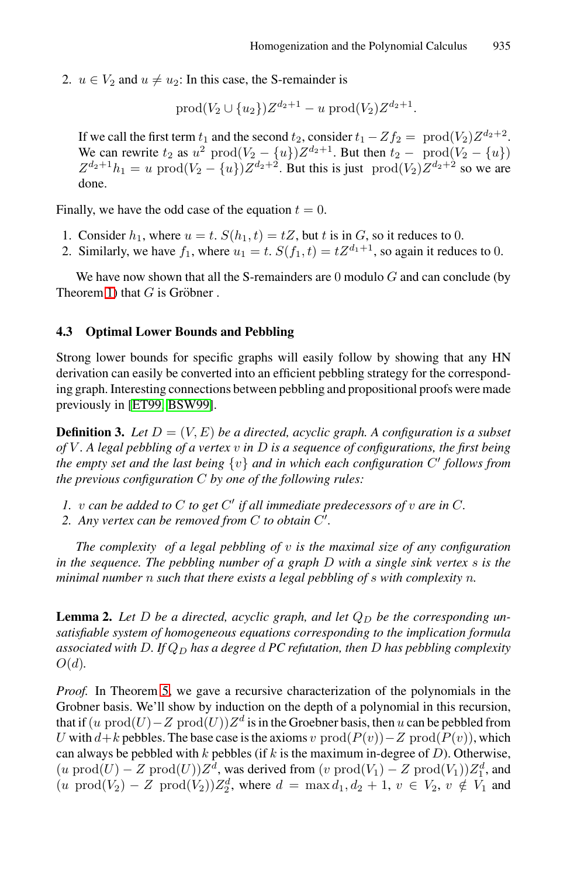2.  $u \in V_2$  and  $u \neq u_2$ : In this case, the S-remainder is

$$
\text{prod}(V_2 \cup \{u_2\})Z^{d_2+1} - u \text{ prod}(V_2)Z^{d_2+1}.
$$

If we call the first term  $t_1$  and the second  $t_2$ , consider  $t_1 - Zf_2 = \text{prod}(V_2)Z^{d_2+2}$ . We can rewrite  $t_2$  as  $u^2$  prod $(V_2 - \{u\})Z^{d_2+1}$ . But then  $t_2$  – prod $(V_2 - \{u\})$  $Z^{d_2+1}h_1 = u \text{ prod}(V_2 - \{u\})Z^{d_2+2}$ . But this is just  $\text{ prod}(V_2)Z^{d_2+2}$  so we are done.

Finally, we have the odd case of the equation  $t = 0$ .

- 1. Consider  $h_1$ , where  $u = t$ .  $S(h_1, t) = tZ$ , but t is in G, so it reduces to 0.
- 2. Similarly, we have  $f_1$ , where  $u_1 = t$ .  $S(f_1, t) = tZ^{d_1+1}$ , so again it reduces to 0.

We have now shown that all the S-remainders are  $0$  modulo  $G$  and can conclude (by Theorem [1\)](#page-2-0) that  $G$  is Gröbner.

#### **4.3 Optimal Lower Bounds and Pebbling**

Strong lower bounds for specific graphs will easily follow by showing that any HN derivation can easily be converted into an efficient pebbling strategy for the corresponding graph. Interesting connections between pebbling and propositional proofs were made previously in [\[ET99, BSW99\]](#page-11-0).

**Definition 3.** Let  $D = (V, E)$  be a directed, acyclic graph. A configuration is a subset *of* V *. A legal pebbling of a vertex* v *in* D *is a sequence of configurations, the first being the empty set and the last being*  $\{v\}$  *and in which each configuration* C' *follows from the previous configuration* C *by one of the following rules:*

- *1.* v can be added to C to get C' if all immediate predecessors of v are in C.
- 2. Any vertex can be removed from  $C$  to obtain  $C'$ .

*The complexity of a legal pebbling of* v *is the maximal size of any configuration in the sequence. The pebbling number of a graph* D *with a single sink vertex* s *is the minimal number* n *such that there exists a legal pebbling of* s *with complexity* n*.*

**Lemma 2.** Let D be a directed, acyclic graph, and let  $Q_D$  be the corresponding un*satisfiable system of homogeneous equations corresponding to the implication formula associated with* D*. If* Q<sup>D</sup> *has a degree* d *PC refutation, then* D *has pebbling complexity*  $O(d)$ .

*Proof.* In Theorem [5,](#page-7-0) we gave a recursive characterization of the polynomials in the Grobner basis. We'll show by induction on the depth of a polynomial in this recursion, that if  $(u \text{ prod}(U)-Z \text{ prod}(U))Z^d$  is in the Groebner basis, then u can be pebbled from U with  $d+k$  pebbles. The base case is the axioms v  $\text{prod}(P(v))$  – Z  $\text{prod}(P(v))$ , which can always be pebbled with  $k$  pebbles (if  $k$  is the maximum in-degree of  $D$ ). Otherwise,  $(u \text{ prod}(U) - Z \text{ prod}(U))Z^d$ , was derived from  $(v \text{ prod}(V_1) - Z \text{ prod}(V_1))Z_1^d$ , and  $(u \text{ prod}(V_2) - Z \text{ prod}(V_2))Z_2^d$ , where  $d = \max d_1, d_2 + 1, v \in V_2, v \notin V_1$  and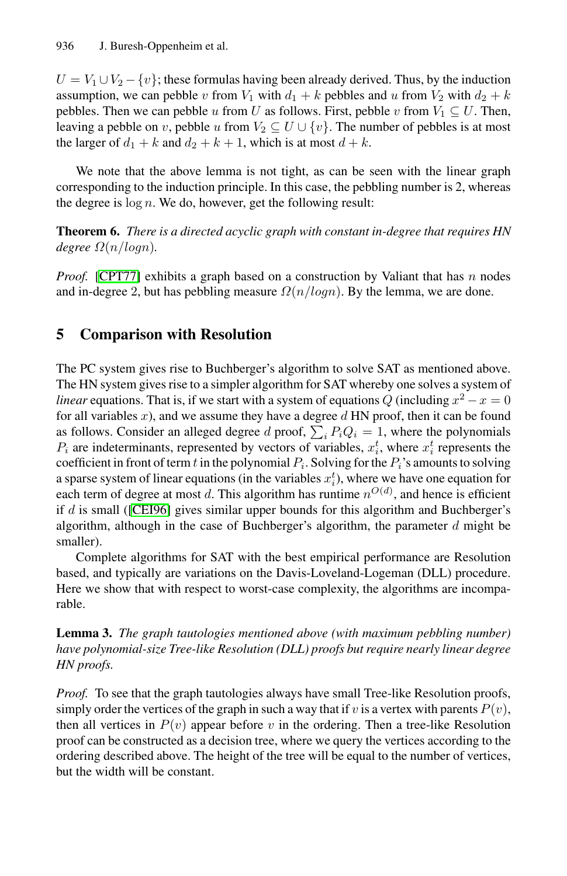$U = V_1 \cup V_2 - \{v\}$ ; these formulas having been already derived. Thus, by the induction assumption, we can pebble v from  $V_1$  with  $d_1 + k$  pebbles and u from  $V_2$  with  $d_2 + k$ pebbles. Then we can pebble u from U as follows. First, pebble v from  $V_1 \subseteq U$ . Then, leaving a pebble on v, pebble u from  $V_2 \subseteq U \cup \{v\}$ . The number of pebbles is at most the larger of  $d_1 + k$  and  $d_2 + k + 1$ , which is at most  $d + k$ .

We note that the above lemma is not tight, as can be seen with the linear graph corresponding to the induction principle. In this case, the pebbling number is 2, whereas the degree is  $log n$ . We do, however, get the following result:

**Theorem 6.** *There is a directed acyclic graph with constant in-degree that requires HN degree* Ω(n/logn)*.*

*Proof.* [\[CPT77\]](#page-11-0) exhibits a graph based on a construction by Valiant that has  $n$  nodes and in-degree 2, but has pebbling measure  $\Omega(n/logn)$ . By the lemma, we are done.

# **5 Comparison with Resolution**

The PC system gives rise to Buchberger's algorithm to solve SAT as mentioned above. The HN system gives rise to a simpler algorithm for SAT whereby one solves a system of *linear* equations. That is, if we start with a system of equations Q (including  $x^2 - x = 0$ ) for all variables  $x$ ), and we assume they have a degree  $d$  HN proof, then it can be found as follows. Consider an alleged degree d proof,  $\sum_i P_i Q_i = 1$ , where the polynomials  $P_i$  are indeterminants, represented by vectors of variables,  $x_i^t$ , where  $x_i^t$  represents the coefficient in front of term t in the polynomial  $P_i$ . Solving for the  $P_i$ 's amounts to solving a sparse system of linear equations (in the variables  $x_i^t$ ), where we have one equation for each term of degree at most d. This algorithm has runtime  $n^{O(d)}$ , and hence is efficient if  $d$  is small ([\[CEI96\]](#page-11-0) gives similar upper bounds for this algorithm and Buchberger's algorithm, although in the case of Buchberger's algorithm, the parameter  $d$  might be smaller).

Complete algorithms for SAT with the best empirical performance are Resolution based, and typically are variations on the Davis-Loveland-Logeman (DLL) procedure. Here we show that with respect to worst-case complexity, the algorithms are incomparable.

**Lemma 3.** *The graph tautologies mentioned above (with maximum pebbling number) have polynomial-size Tree-like Resolution (DLL) proofs but require nearly linear degree HN proofs.*

*Proof.* To see that the graph tautologies always have small Tree-like Resolution proofs, simply order the vertices of the graph in such a way that if v is a vertex with parents  $P(v)$ , then all vertices in  $P(v)$  appear before v in the ordering. Then a tree-like Resolution proof can be constructed as a decision tree, where we query the vertices according to the ordering described above. The height of the tree will be equal to the number of vertices, but the width will be constant.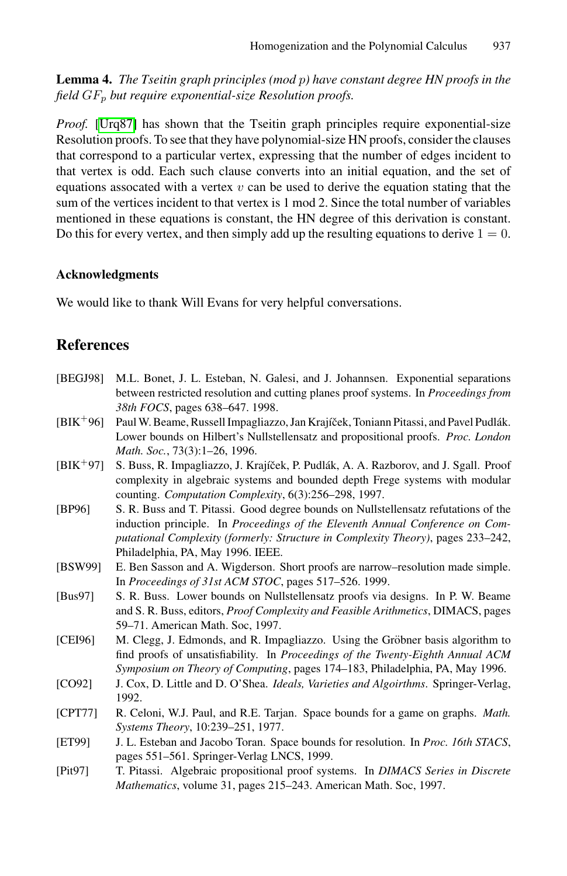<span id="page-11-0"></span>**Lemma 4.** *The Tseitin graph principles (mod* p*) have constant degree HN proofs in the field*  $GF_n$  *but require exponential-size Resolution proofs.* 

*Proof.* [\[Urq87\]](#page-12-0) has shown that the Tseitin graph principles require exponential-size Resolution proofs. To see that they have polynomial-size HN proofs, consider the clauses that correspond to a particular vertex, expressing that the number of edges incident to that vertex is odd. Each such clause converts into an initial equation, and the set of equations assocated with a vertex  $v$  can be used to derive the equation stating that the sum of the vertices incident to that vertex is 1 mod 2. Since the total number of variables mentioned in these equations is constant, the HN degree of this derivation is constant. Do this for every vertex, and then simply add up the resulting equations to derive  $1=0$ .

### **Acknowledgments**

We would like to thank Will Evans for very helpful conversations.

## **References**

| [BEGJ98]             | M.L. Bonet, J. L. Esteban, N. Galesi, and J. Johannsen. Exponential separations                                                       |
|----------------------|---------------------------------------------------------------------------------------------------------------------------------------|
|                      | between restricted resolution and cutting planes proof systems. In Proceedings from                                                   |
|                      | 38th FOCS, pages 638–647. 1998.                                                                                                       |
| [BIK <sup>+96]</sup> | Paul W. Beame, Russell Impagliazzo, Jan Krajíček, Toniann Pitassi, and Pavel Pudlák.                                                  |
|                      | Lower bounds on Hilbert's Nullstellensatz and propositional proofs. Proc. London                                                      |
|                      | <i>Math. Soc.</i> , 73(3):1–26, 1996.                                                                                                 |
| $[BIK^+97]$          | S. Buss, R. Impagliazzo, J. Krajíček, P. Pudlák, A. A. Razborov, and J. Sgall. Proof                                                  |
|                      | complexity in algebraic systems and bounded depth Frege systems with modular<br>counting. Computation Complexity, 6(3):256–298, 1997. |
| [BP96]               | S. R. Buss and T. Pitassi. Good degree bounds on Nullstellensatz refutations of the                                                   |
|                      | induction principle. In Proceedings of the Eleventh Annual Conference on Com-                                                         |
|                      | putational Complexity (formerly: Structure in Complexity Theory), pages 233-242,                                                      |
|                      | Philadelphia, PA, May 1996. IEEE.                                                                                                     |
| [BSW99]              | E. Ben Sasson and A. Wigderson. Short proofs are narrow-resolution made simple.                                                       |
|                      | In Proceedings of 31st ACM STOC, pages 517–526. 1999.                                                                                 |
| [Bus97]              | S. R. Buss. Lower bounds on Nullstellensatz proofs via designs. In P. W. Beame                                                        |
|                      | and S. R. Buss, editors, Proof Complexity and Feasible Arithmetics, DIMACS, pages                                                     |
|                      | 59–71. American Math. Soc, 1997.                                                                                                      |
| [CEI96]              | M. Clegg, J. Edmonds, and R. Impagliazzo. Using the Gröbner basis algorithm to                                                        |
|                      | find proofs of unsatisfiability. In Proceedings of the Twenty-Eighth Annual ACM                                                       |
|                      | Symposium on Theory of Computing, pages 174–183, Philadelphia, PA, May 1996.                                                          |
| [CO92]               | J. Cox, D. Little and D. O'Shea. <i>Ideals, Varieties and Algoirthms</i> . Springer-Verlag,                                           |
|                      | 1992.                                                                                                                                 |
| [CPT77]              | R. Celoni, W.J. Paul, and R.E. Tarjan. Space bounds for a game on graphs. Math.                                                       |
|                      | <i>Systems Theory</i> , 10:239–251, 1977.                                                                                             |
| [ET99]               | J. L. Esteban and Jacobo Toran. Space bounds for resolution. In Proc. 16th STACS,                                                     |
|                      | pages 551-561. Springer-Verlag LNCS, 1999.                                                                                            |
| [Pit97]              | T. Pitassi. Algebraic propositional proof systems. In DIMACS Series in Discrete                                                       |
|                      | Mathematics, volume 31, pages 215-243. American Math. Soc, 1997.                                                                      |